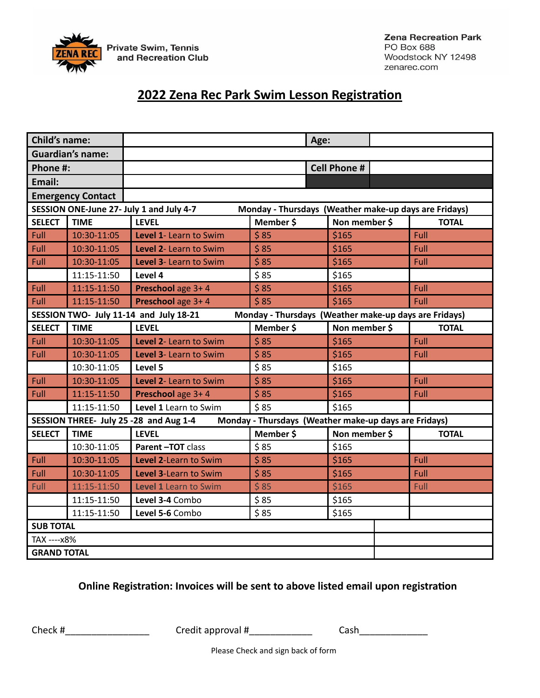

# **2022 Zena Rec Park Swim Lesson Registration**

| <b>Child's name:</b>                                                                              |                         |                        |           | Age: |                     |              |
|---------------------------------------------------------------------------------------------------|-------------------------|------------------------|-----------|------|---------------------|--------------|
|                                                                                                   | <b>Guardian's name:</b> |                        |           |      |                     |              |
| Phone #:                                                                                          |                         |                        |           |      | <b>Cell Phone #</b> |              |
| Email:                                                                                            |                         |                        |           |      |                     |              |
| <b>Emergency Contact</b>                                                                          |                         |                        |           |      |                     |              |
| SESSION ONE-June 27- July 1 and July 4-7<br>Monday - Thursdays (Weather make-up days are Fridays) |                         |                        |           |      |                     |              |
| <b>SELECT</b>                                                                                     | <b>TIME</b>             | <b>LEVEL</b>           | Member \$ |      | Non member \$       | <b>TOTAL</b> |
| Full                                                                                              | 10:30-11:05             | Level 1- Learn to Swim | \$85      |      | \$165               | Full         |
| Full                                                                                              | 10:30-11:05             | Level 2- Learn to Swim | \$85      |      | \$165               | Full         |
| Full                                                                                              | 10:30-11:05             | Level 3- Learn to Swim | \$85      |      | \$165               | Full         |
|                                                                                                   | 11:15-11:50             | Level 4                | \$85      |      | \$165               |              |
| Full                                                                                              | 11:15-11:50             | Preschool age 3+4      | \$85      |      | \$165               | Full         |
| Full                                                                                              | 11:15-11:50             | Preschool age 3+4      | \$85      |      | \$165               | Full         |
| SESSION TWO- July 11-14 and July 18-21<br>Monday - Thursdays (Weather make-up days are Fridays)   |                         |                        |           |      |                     |              |
| <b>SELECT</b>                                                                                     | <b>TIME</b>             | <b>LEVEL</b>           | Member \$ |      | Non member \$       | <b>TOTAL</b> |
| Full                                                                                              | 10:30-11:05             | Level 2- Learn to Swim | \$85      |      | \$165               | Full         |
| Full                                                                                              | 10:30-11:05             | Level 3- Learn to Swim | \$85      |      | \$165               | Full         |
|                                                                                                   | 10:30-11:05             | Level 5                | \$85      |      | \$165               |              |
| Full                                                                                              | 10:30-11:05             | Level 2- Learn to Swim | \$85      |      | \$165               | Full         |
| Full                                                                                              | 11:15-11:50             | Preschool age 3+4      | \$85      |      | \$165               | Full         |
|                                                                                                   | 11:15-11:50             | Level 1 Learn to Swim  | \$85      |      | \$165               |              |
| Monday - Thursdays (Weather make-up days are Fridays)<br>SESSION THREE- July 25 -28 and Aug 1-4   |                         |                        |           |      |                     |              |
| <b>SELECT</b>                                                                                     | <b>TIME</b>             | <b>LEVEL</b>           | Member \$ |      | Non member \$       | <b>TOTAL</b> |
|                                                                                                   | 10:30-11:05             | Parent-TOT class       | \$85      |      | \$165               |              |
| Full                                                                                              | 10:30-11:05             | Level 2-Learn to Swim  | \$85      |      | \$165               | Full         |
| Full                                                                                              | 10:30-11:05             | Level 3-Learn to Swim  | \$85      |      | \$165               | Full         |
| Full                                                                                              | 11:15-11:50             | Level 1 Learn to Swim  | \$85      |      | \$165               | Full         |
|                                                                                                   | 11:15-11:50             | Level 3-4 Combo        | \$85      |      | \$165               |              |
|                                                                                                   | 11:15-11:50             | Level 5-6 Combo        | \$85      |      | \$165               |              |
| <b>SUB TOTAL</b>                                                                                  |                         |                        |           |      |                     |              |
| TAX ---- x8%                                                                                      |                         |                        |           |      |                     |              |
| <b>GRAND TOTAL</b>                                                                                |                         |                        |           |      |                     |              |

# **Online Registration: Invoices will be sent to above listed email upon registration**

Check # \_\_\_\_\_\_\_\_\_\_\_\_\_\_\_\_\_\_\_\_\_\_ Credit approval # \_\_\_\_\_\_\_\_\_\_\_\_\_ Cash\_\_\_\_\_\_\_\_\_\_\_\_\_